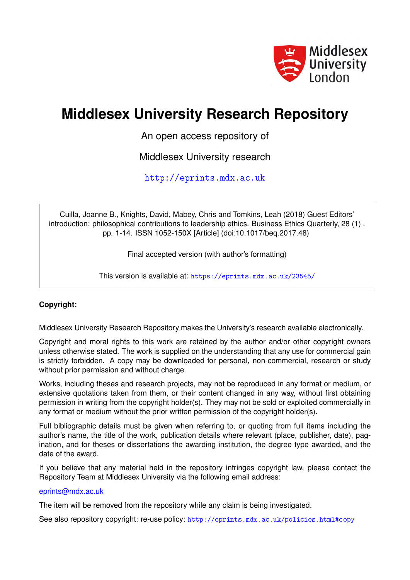

# **Middlesex University Research Repository**

An open access repository of

Middlesex University research

<http://eprints.mdx.ac.uk>

Cuilla, Joanne B., Knights, David, Mabey, Chris and Tomkins, Leah (2018) Guest Editors' introduction: philosophical contributions to leadership ethics. Business Ethics Quarterly, 28 (1) . pp. 1-14. ISSN 1052-150X [Article] (doi:10.1017/beq.2017.48)

Final accepted version (with author's formatting)

This version is available at: <https://eprints.mdx.ac.uk/23545/>

# **Copyright:**

Middlesex University Research Repository makes the University's research available electronically.

Copyright and moral rights to this work are retained by the author and/or other copyright owners unless otherwise stated. The work is supplied on the understanding that any use for commercial gain is strictly forbidden. A copy may be downloaded for personal, non-commercial, research or study without prior permission and without charge.

Works, including theses and research projects, may not be reproduced in any format or medium, or extensive quotations taken from them, or their content changed in any way, without first obtaining permission in writing from the copyright holder(s). They may not be sold or exploited commercially in any format or medium without the prior written permission of the copyright holder(s).

Full bibliographic details must be given when referring to, or quoting from full items including the author's name, the title of the work, publication details where relevant (place, publisher, date), pagination, and for theses or dissertations the awarding institution, the degree type awarded, and the date of the award.

If you believe that any material held in the repository infringes copyright law, please contact the Repository Team at Middlesex University via the following email address:

# [eprints@mdx.ac.uk](mailto:eprints@mdx.ac.uk)

The item will be removed from the repository while any claim is being investigated.

See also repository copyright: re-use policy: <http://eprints.mdx.ac.uk/policies.html#copy>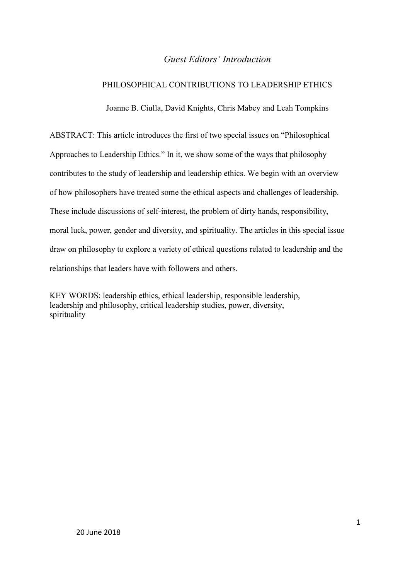# *Guest Editors' Introduction*

# PHILOSOPHICAL CONTRIBUTIONS TO LEADERSHIP ETHICS

Joanne B. Ciulla, David Knights, Chris Mabey and Leah Tompkins

ABSTRACT: This article introduces the first of two special issues on "Philosophical Approaches to Leadership Ethics." In it, we show some of the ways that philosophy contributes to the study of leadership and leadership ethics. We begin with an overview of how philosophers have treated some the ethical aspects and challenges of leadership. These include discussions of self-interest, the problem of dirty hands, responsibility, moral luck, power, gender and diversity, and spirituality. The articles in this special issue draw on philosophy to explore a variety of ethical questions related to leadership and the relationships that leaders have with followers and others.

KEY WORDS: leadership ethics, ethical leadership, responsible leadership, leadership and philosophy, critical leadership studies, power, diversity, spirituality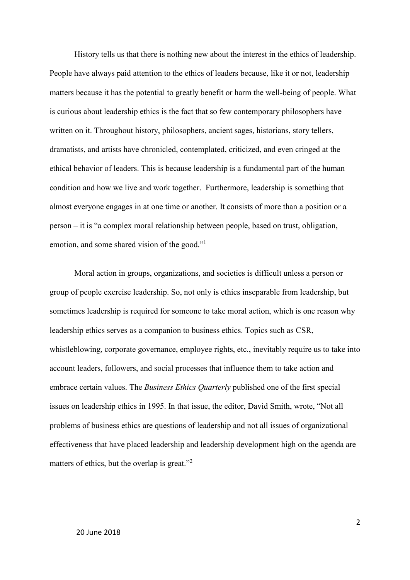History tells us that there is nothing new about the interest in the ethics of leadership. People have always paid attention to the ethics of leaders because, like it or not, leadership matters because it has the potential to greatly benefit or harm the well-being of people. What is curious about leadership ethics is the fact that so few contemporary philosophers have written on it. Throughout history, philosophers, ancient sages, historians, story tellers, dramatists, and artists have chronicled, contemplated, criticized, and even cringed at the ethical behavior of leaders. This is because leadership is a fundamental part of the human condition and how we live and work together. Furthermore, leadership is something that almost everyone engages in at one time or another. It consists of more than a position or a person – it is "a complex moral relationship between people, based on trust, obligation, emotion, and some shared vision of the good."<sup>1</sup>

Moral action in groups, organizations, and societies is difficult unless a person or group of people exercise leadership. So, not only is ethics inseparable from leadership, but sometimes leadership is required for someone to take moral action, which is one reason why leadership ethics serves as a companion to business ethics. Topics such as CSR, whistleblowing, corporate governance, employee rights, etc., inevitably require us to take into account leaders, followers, and social processes that influence them to take action and embrace certain values. The *Business Ethics Quarterly* published one of the first special issues on leadership ethics in 1995. In that issue, the editor, David Smith, wrote, "Not all problems of business ethics are questions of leadership and not all issues of organizational effectiveness that have placed leadership and leadership development high on the agenda are matters of ethics, but the overlap is great."<sup>2</sup>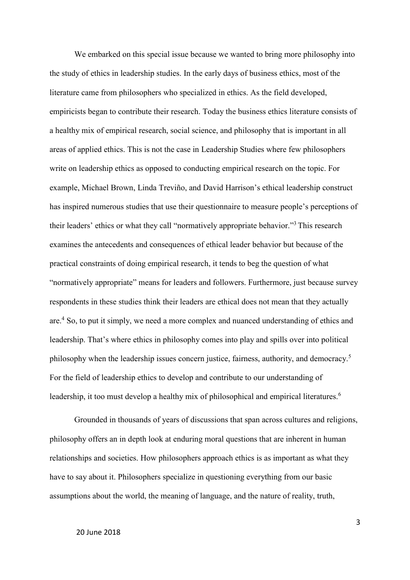We embarked on this special issue because we wanted to bring more philosophy into the study of ethics in leadership studies. In the early days of business ethics, most of the literature came from philosophers who specialized in ethics. As the field developed, empiricists began to contribute their research. Today the business ethics literature consists of a healthy mix of empirical research, social science, and philosophy that is important in all areas of applied ethics. This is not the case in Leadership Studies where few philosophers write on leadership ethics as opposed to conducting empirical research on the topic. For example, Michael Brown, Linda Treviño, and David Harrison's ethical leadership construct has inspired numerous studies that use their questionnaire to measure people's perceptions of their leaders' ethics or what they call "normatively appropriate behavior."<sup>3</sup> This research examines the antecedents and consequences of ethical leader behavior but because of the practical constraints of doing empirical research, it tends to beg the question of what "normatively appropriate" means for leaders and followers. Furthermore, just because survey respondents in these studies think their leaders are ethical does not mean that they actually are. <sup>4</sup> So, to put it simply, we need a more complex and nuanced understanding of ethics and leadership. That's where ethics in philosophy comes into play and spills over into political philosophy when the leadership issues concern justice, fairness, authority, and democracy.<sup>5</sup> For the field of leadership ethics to develop and contribute to our understanding of leadership, it too must develop a healthy mix of philosophical and empirical literatures.<sup>6</sup>

Grounded in thousands of years of discussions that span across cultures and religions, philosophy offers an in depth look at enduring moral questions that are inherent in human relationships and societies. How philosophers approach ethics is as important as what they have to say about it. Philosophers specialize in questioning everything from our basic assumptions about the world, the meaning of language, and the nature of reality, truth,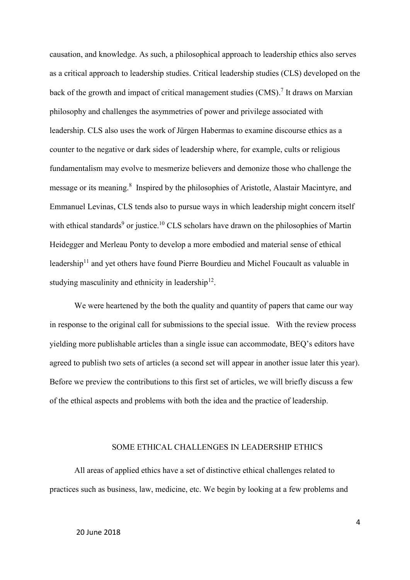causation, and knowledge. As such, a philosophical approach to leadership ethics also serves as a critical approach to leadership studies. Critical leadership studies (CLS) developed on the back of the growth and impact of critical management studies (CMS).<sup>7</sup> It draws on Marxian philosophy and challenges the asymmetries of power and privilege associated with leadership. CLS also uses the work of Jürgen Habermas to examine discourse ethics as a counter to the negative or dark sides of leadership where, for example, cults or religious fundamentalism may evolve to mesmerize believers and demonize those who challenge the message or its meaning. 8 Inspired by the philosophies of Aristotle, Alastair Macintyre, and Emmanuel Levinas, CLS tends also to pursue ways in which leadership might concern itself with ethical standards<sup>9</sup> or justice.<sup>10</sup> CLS scholars have drawn on the philosophies of Martin Heidegger and Merleau Ponty to develop a more embodied and material sense of ethical leadership<sup>11</sup> and yet others have found Pierre Bourdieu and Michel Foucault as valuable in studying masculinity and ethnicity in leadership<sup>12</sup>.

We were heartened by the both the quality and quantity of papers that came our way in response to the original call for submissions to the special issue. With the review process yielding more publishable articles than a single issue can accommodate, BEQ's editors have agreed to publish two sets of articles (a second set will appear in another issue later this year). Before we preview the contributions to this first set of articles, we will briefly discuss a few of the ethical aspects and problems with both the idea and the practice of leadership.

#### SOME ETHICAL CHALLENGES IN LEADERSHIP ETHICS

All areas of applied ethics have a set of distinctive ethical challenges related to practices such as business, law, medicine, etc. We begin by looking at a few problems and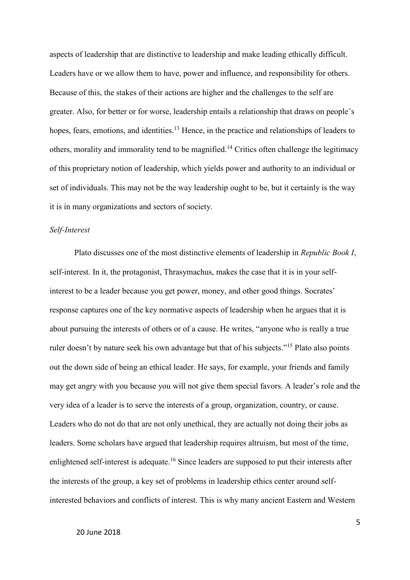aspects of leadership that are distinctive to leadership and make leading ethically difficult. Leaders have or we allow them to have, power and influence, and responsibility for others. Because of this, the stakes of their actions are higher and the challenges to the self are greater. Also, for better or for worse, leadership entails a relationship that draws on people's hopes, fears, emotions, and identities.<sup>13</sup> Hence, in the practice and relationships of leaders to others, morality and immorality tend to be magnified.<sup>14</sup> Critics often challenge the legitimacy of this proprietary notion of leadership, which yields power and authority to an individual or set of individuals. This may not be the way leadership ought to be, but it certainly is the way it is in many organizations and sectors of society.

#### *Self-Interest*

Plato discusses one of the most distinctive elements of leadership in *Republic Book I*, self-interest*.* In it, the protagonist, Thrasymachus, makes the case that it is in your selfinterest to be a leader because you get power, money, and other good things. Socrates' response captures one of the key normative aspects of leadership when he argues that it is about pursuing the interests of others or of a cause. He writes, "anyone who is really a true ruler doesn't by nature seek his own advantage but that of his subjects."<sup>15</sup> Plato also points out the down side of being an ethical leader. He says, for example, your friends and family may get angry with you because you will not give them special favors. A leader's role and the very idea of a leader is to serve the interests of a group, organization, country, or cause. Leaders who do not do that are not only unethical, they are actually not doing their jobs as leaders. Some scholars have argued that leadership requires altruism, but most of the time, enlightened self-interest is adequate.<sup>16</sup> Since leaders are supposed to put their interests after the interests of the group, a key set of problems in leadership ethics center around selfinterested behaviors and conflicts of interest. This is why many ancient Eastern and Western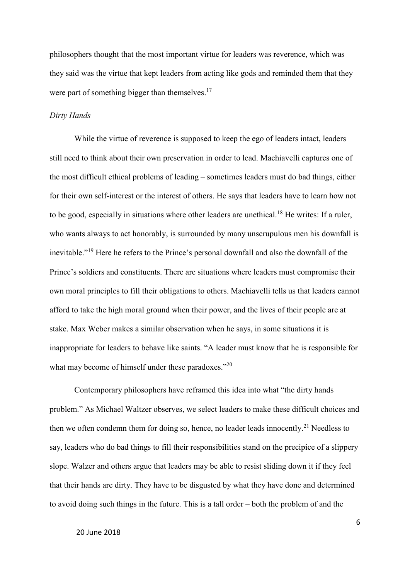philosophers thought that the most important virtue for leaders was reverence, which was they said was the virtue that kept leaders from acting like gods and reminded them that they were part of something bigger than themselves. $17$ 

#### *Dirty Hands*

While the virtue of reverence is supposed to keep the ego of leaders intact, leaders still need to think about their own preservation in order to lead. Machiavelli captures one of the most difficult ethical problems of leading – sometimes leaders must do bad things, either for their own self-interest or the interest of others. He says that leaders have to learn how not to be good, especially in situations where other leaders are unethical.<sup>18</sup> He writes: If a ruler, who wants always to act honorably, is surrounded by many unscrupulous men his downfall is inevitable."<sup>19</sup> Here he refers to the Prince's personal downfall and also the downfall of the Prince's soldiers and constituents. There are situations where leaders must compromise their own moral principles to fill their obligations to others. Machiavelli tells us that leaders cannot afford to take the high moral ground when their power, and the lives of their people are at stake. Max Weber makes a similar observation when he says, in some situations it is inappropriate for leaders to behave like saints. "A leader must know that he is responsible for what may become of himself under these paradoxes."<sup>20</sup>

Contemporary philosophers have reframed this idea into what "the dirty hands problem." As Michael Waltzer observes, we select leaders to make these difficult choices and then we often condemn them for doing so, hence, no leader leads innocently.<sup>21</sup> Needless to say, leaders who do bad things to fill their responsibilities stand on the precipice of a slippery slope. Walzer and others argue that leaders may be able to resist sliding down it if they feel that their hands are dirty. They have to be disgusted by what they have done and determined to avoid doing such things in the future. This is a tall order – both the problem of and the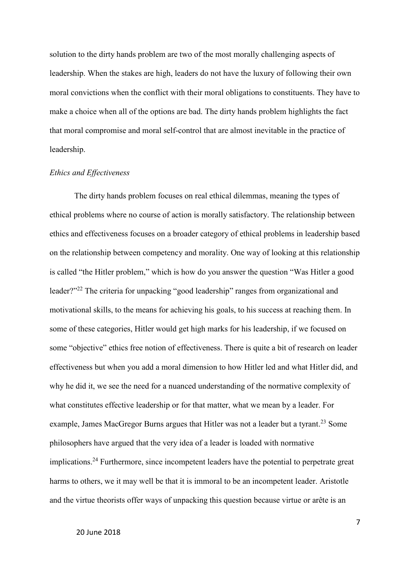solution to the dirty hands problem are two of the most morally challenging aspects of leadership. When the stakes are high, leaders do not have the luxury of following their own moral convictions when the conflict with their moral obligations to constituents. They have to make a choice when all of the options are bad. The dirty hands problem highlights the fact that moral compromise and moral self-control that are almost inevitable in the practice of leadership.

## *Ethics and Effectiveness*

The dirty hands problem focuses on real ethical dilemmas, meaning the types of ethical problems where no course of action is morally satisfactory. The relationship between ethics and effectiveness focuses on a broader category of ethical problems in leadership based on the relationship between competency and morality. One way of looking at this relationship is called "the Hitler problem," which is how do you answer the question "Was Hitler a good leader?"<sup>22</sup> The criteria for unpacking "good leadership" ranges from organizational and motivational skills, to the means for achieving his goals, to his success at reaching them. In some of these categories, Hitler would get high marks for his leadership, if we focused on some "objective" ethics free notion of effectiveness. There is quite a bit of research on leader effectiveness but when you add a moral dimension to how Hitler led and what Hitler did, and why he did it, we see the need for a nuanced understanding of the normative complexity of what constitutes effective leadership or for that matter, what we mean by a leader. For example, James MacGregor Burns argues that Hitler was not a leader but a tyrant.<sup>23</sup> Some philosophers have argued that the very idea of a leader is loaded with normative implications.<sup>24</sup> Furthermore, since incompetent leaders have the potential to perpetrate great harms to others, we it may well be that it is immoral to be an incompetent leader. Aristotle and the virtue theorists offer ways of unpacking this question because virtue or arête is an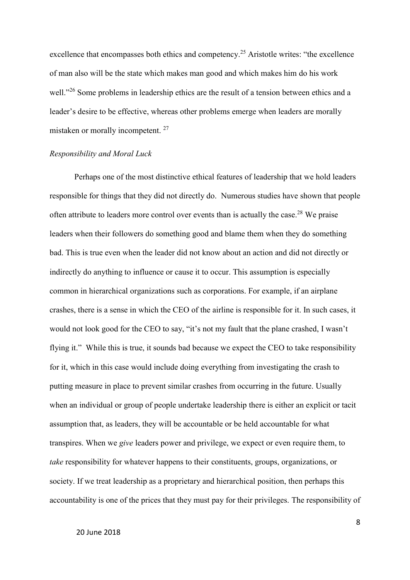excellence that encompasses both ethics and competency.<sup>25</sup> Aristotle writes: "the excellence of man also will be the state which makes man good and which makes him do his work well."<sup>26</sup> Some problems in leadership ethics are the result of a tension between ethics and a leader's desire to be effective, whereas other problems emerge when leaders are morally mistaken or morally incompetent.<sup>27</sup>

#### *Responsibility and Moral Luck*

Perhaps one of the most distinctive ethical features of leadership that we hold leaders responsible for things that they did not directly do. Numerous studies have shown that people often attribute to leaders more control over events than is actually the case.<sup>28</sup> We praise leaders when their followers do something good and blame them when they do something bad. This is true even when the leader did not know about an action and did not directly or indirectly do anything to influence or cause it to occur. This assumption is especially common in hierarchical organizations such as corporations. For example, if an airplane crashes, there is a sense in which the CEO of the airline is responsible for it. In such cases, it would not look good for the CEO to say, "it's not my fault that the plane crashed, I wasn't flying it." While this is true, it sounds bad because we expect the CEO to take responsibility for it, which in this case would include doing everything from investigating the crash to putting measure in place to prevent similar crashes from occurring in the future. Usually when an individual or group of people undertake leadership there is either an explicit or tacit assumption that, as leaders, they will be accountable or be held accountable for what transpires. When we *give* leaders power and privilege, we expect or even require them, to *take* responsibility for whatever happens to their constituents, groups, organizations, or society. If we treat leadership as a proprietary and hierarchical position, then perhaps this accountability is one of the prices that they must pay for their privileges. The responsibility of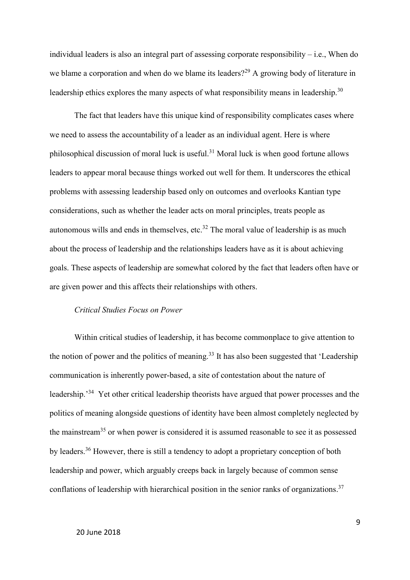individual leaders is also an integral part of assessing corporate responsibility – i.e., When do we blame a corporation and when do we blame its leaders?<sup>29</sup> A growing body of literature in leadership ethics explores the many aspects of what responsibility means in leadership.<sup>30</sup>

The fact that leaders have this unique kind of responsibility complicates cases where we need to assess the accountability of a leader as an individual agent. Here is where philosophical discussion of moral luck is useful.<sup>31</sup> Moral luck is when good fortune allows leaders to appear moral because things worked out well for them. It underscores the ethical problems with assessing leadership based only on outcomes and overlooks Kantian type considerations, such as whether the leader acts on moral principles, treats people as autonomous wills and ends in themselves, etc.<sup>32</sup> The moral value of leadership is as much about the process of leadership and the relationships leaders have as it is about achieving goals. These aspects of leadership are somewhat colored by the fact that leaders often have or are given power and this affects their relationships with others.

## *Critical Studies Focus on Power*

Within critical studies of leadership, it has become commonplace to give attention to the notion of power and the politics of meaning.<sup>33</sup> It has also been suggested that 'Leadership communication is inherently power-based, a site of contestation about the nature of leadership.<sup>34</sup> Yet other critical leadership theorists have argued that power processes and the politics of meaning alongside questions of identity have been almost completely neglected by the mainstream<sup>35</sup> or when power is considered it is assumed reasonable to see it as possessed by leaders.<sup>36</sup> However, there is still a tendency to adopt a proprietary conception of both leadership and power, which arguably creeps back in largely because of common sense conflations of leadership with hierarchical position in the senior ranks of organizations.<sup>37</sup>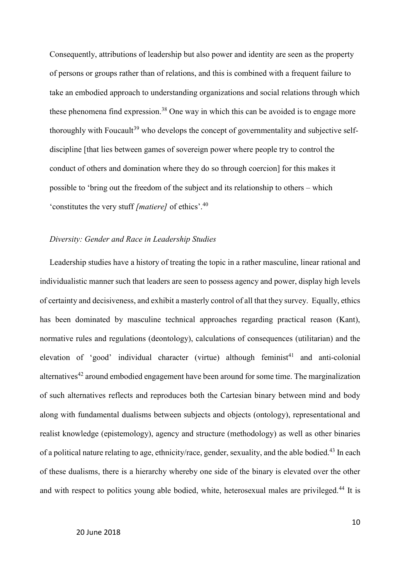Consequently, attributions of leadership but also power and identity are seen as the property of persons or groups rather than of relations, and this is combined with a frequent failure to take an embodied approach to understanding organizations and social relations through which these phenomena find expression. <sup>38</sup> One way in which this can be avoided is to engage more thoroughly with Foucault<sup>39</sup> who develops the concept of governmentality and subjective selfdiscipline [that lies between games of sovereign power where people try to control the conduct of others and domination where they do so through coercion] for this makes it possible to 'bring out the freedom of the subject and its relationship to others – which 'constitutes the very stuff *[matiere]* of ethics'. 40

## *Diversity: Gender and Race in Leadership Studies*

Leadership studies have a history of treating the topic in a rather masculine, linear rational and individualistic manner such that leaders are seen to possess agency and power, display high levels of certainty and decisiveness, and exhibit a masterly control of all that they survey. Equally, ethics has been dominated by masculine technical approaches regarding practical reason (Kant), normative rules and regulations (deontology), calculations of consequences (utilitarian) and the elevation of 'good' individual character (virtue) although feminist<sup>41</sup> and anti-colonial alternatives<sup>42</sup> around embodied engagement have been around for some time. The marginalization of such alternatives reflects and reproduces both the Cartesian binary between mind and body along with fundamental dualisms between subjects and objects (ontology), representational and realist knowledge (epistemology), agency and structure (methodology) as well as other binaries of a political nature relating to age, ethnicity/race, gender, sexuality, and the able bodied.<sup>43</sup> In each of these dualisms, there is a hierarchy whereby one side of the binary is elevated over the other and with respect to politics young able bodied, white, heterosexual males are privileged.<sup>44</sup> It is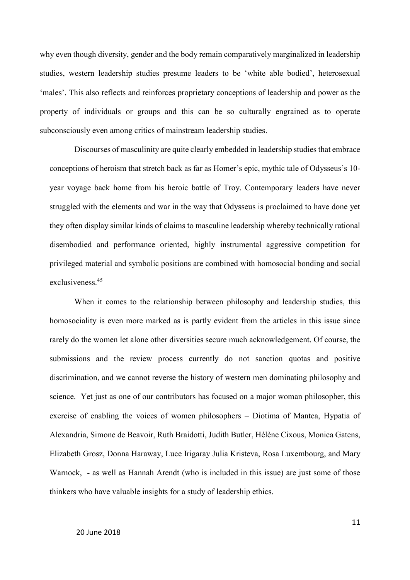why even though diversity, gender and the body remain comparatively marginalized in leadership studies, western leadership studies presume leaders to be 'white able bodied', heterosexual 'males'. This also reflects and reinforces proprietary conceptions of leadership and power as the property of individuals or groups and this can be so culturally engrained as to operate subconsciously even among critics of mainstream leadership studies.

Discourses of masculinity are quite clearly embedded in leadership studies that embrace conceptions of heroism that stretch back as far as Homer's epic, mythic tale of Odysseus's 10 year voyage back home from his heroic battle of Troy. Contemporary leaders have never struggled with the elements and war in the way that Odysseus is proclaimed to have done yet they often display similar kinds of claims to masculine leadership whereby technically rational disembodied and performance oriented, highly instrumental aggressive competition for privileged material and symbolic positions are combined with homosocial bonding and social exclusiveness.<sup>45</sup>

When it comes to the relationship between philosophy and leadership studies, this homosociality is even more marked as is partly evident from the articles in this issue since rarely do the women let alone other diversities secure much acknowledgement. Of course, the submissions and the review process currently do not sanction quotas and positive discrimination, and we cannot reverse the history of western men dominating philosophy and science. Yet just as one of our contributors has focused on a major woman philosopher, this exercise of enabling the voices of women philosophers – Diotima of Mantea, Hypatia of Alexandria, Simone de Beavoir, Ruth Braidotti, Judith Butler, [Hélène Cixous,](https://en.wikipedia.org/wiki/H%C3%A9l%C3%A8ne_Cixous) Monica Gatens, Elizabeth Grosz, Donna Haraway, Luce Irigaray Julia Kristeva, Rosa Luxembourg, and Mary Warnock, - as well as Hannah Arendt (who is included in this issue) are just some of those thinkers who have valuable insights for a study of leadership ethics.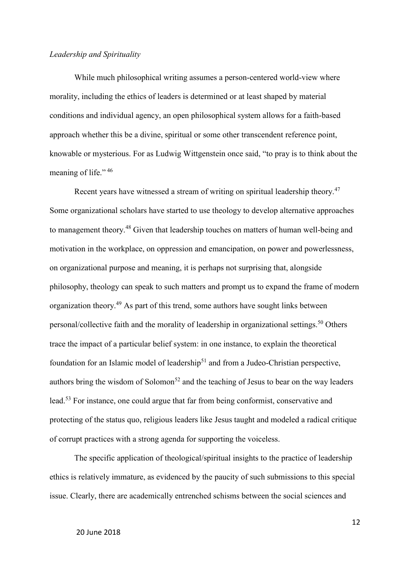## *Leadership and Spirituality*

While much philosophical writing assumes a person-centered world-view where morality, including the ethics of leaders is determined or at least shaped by material conditions and individual agency, an open philosophical system allows for a faith-based approach whether this be a divine, spiritual or some other transcendent reference point, knowable or mysterious. For as Ludwig Wittgenstein once said, "to pray is to think about the meaning of life." 46

Recent years have witnessed a stream of writing on spiritual leadership theory.<sup>47</sup> Some organizational scholars have started to use theology to develop alternative approaches to management theory.<sup>48</sup> Given that leadership touches on matters of human well-being and motivation in the workplace, on oppression and emancipation, on power and powerlessness, on organizational purpose and meaning, it is perhaps not surprising that, alongside philosophy, theology can speak to such matters and prompt us to expand the frame of modern organization theory.<sup>49</sup> As part of this trend, some authors have sought links between personal/collective faith and the morality of leadership in organizational settings.<sup>50</sup> Others trace the impact of a particular belief system: in one instance, to explain the theoretical foundation for an Islamic model of leadership<sup>51</sup> and from a Judeo-Christian perspective, authors bring the wisdom of Solomon<sup>52</sup> and the teaching of Jesus to bear on the way leaders lead.<sup>53</sup> For instance, one could argue that far from being conformist, conservative and protecting of the status quo, religious leaders like Jesus taught and modeled a radical critique of corrupt practices with a strong agenda for supporting the voiceless.

The specific application of theological/spiritual insights to the practice of leadership ethics is relatively immature, as evidenced by the paucity of such submissions to this special issue. Clearly, there are academically entrenched schisms between the social sciences and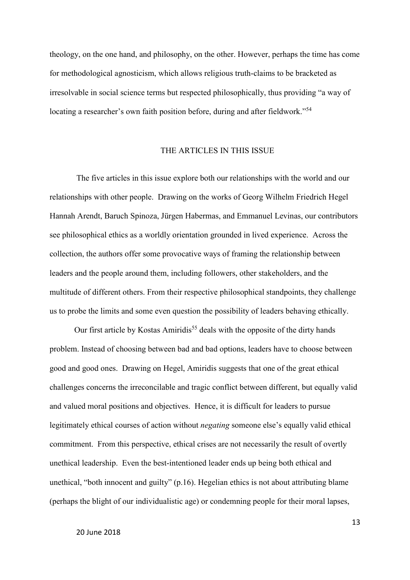theology, on the one hand, and philosophy, on the other. However, perhaps the time has come for methodological agnosticism, which allows religious truth-claims to be bracketed as irresolvable in social science terms but respected philosophically, thus providing "a way of locating a researcher's own faith position before, during and after fieldwork."<sup>54</sup>

#### THE ARTICLES IN THIS ISSUE

The five articles in this issue explore both our relationships with the world and our relationships with other people. Drawing on the works of Georg Wilhelm Friedrich Hegel Hannah Arendt, Baruch Spinoza, Jürgen Habermas, and Emmanuel Levinas, our contributors see philosophical ethics as a worldly orientation grounded in lived experience. Across the collection, the authors offer some provocative ways of framing the relationship between leaders and the people around them, including followers, other stakeholders, and the multitude of different others. From their respective philosophical standpoints, they challenge us to probe the limits and some even question the possibility of leaders behaving ethically.

Our first article by Kostas Amiridis<sup>55</sup> deals with the opposite of the dirty hands problem. Instead of choosing between bad and bad options, leaders have to choose between good and good ones. Drawing on Hegel, Amiridis suggests that one of the great ethical challenges concerns the irreconcilable and tragic conflict between different, but equally valid and valued moral positions and objectives. Hence, it is difficult for leaders to pursue legitimately ethical courses of action without *negating* someone else's equally valid ethical commitment. From this perspective, ethical crises are not necessarily the result of overtly unethical leadership. Even the best-intentioned leader ends up being both ethical and unethical, "both innocent and guilty" (p.16). Hegelian ethics is not about attributing blame (perhaps the blight of our individualistic age) or condemning people for their moral lapses,

13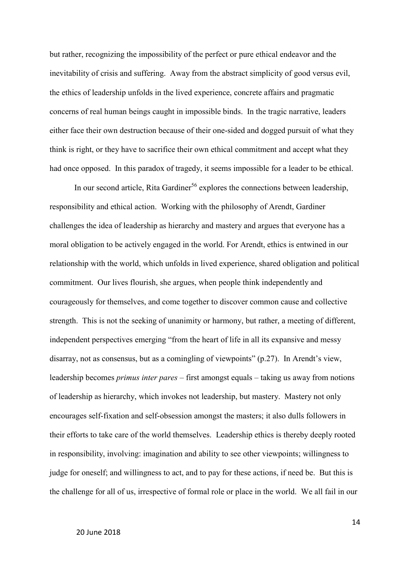but rather, recognizing the impossibility of the perfect or pure ethical endeavor and the inevitability of crisis and suffering. Away from the abstract simplicity of good versus evil, the ethics of leadership unfolds in the lived experience, concrete affairs and pragmatic concerns of real human beings caught in impossible binds. In the tragic narrative, leaders either face their own destruction because of their one-sided and dogged pursuit of what they think is right, or they have to sacrifice their own ethical commitment and accept what they had once opposed. In this paradox of tragedy, it seems impossible for a leader to be ethical.

In our second article, Rita Gardiner<sup>56</sup> explores the connections between leadership, responsibility and ethical action. Working with the philosophy of Arendt, Gardiner challenges the idea of leadership as hierarchy and mastery and argues that everyone has a moral obligation to be actively engaged in the world. For Arendt, ethics is entwined in our relationship with the world, which unfolds in lived experience, shared obligation and political commitment. Our lives flourish, she argues, when people think independently and courageously for themselves, and come together to discover common cause and collective strength. This is not the seeking of unanimity or harmony, but rather, a meeting of different, independent perspectives emerging "from the heart of life in all its expansive and messy disarray, not as consensus, but as a comingling of viewpoints" (p.27). In Arendt's view, leadership becomes *primus inter pares* – first amongst equals – taking us away from notions of leadership as hierarchy, which invokes not leadership, but mastery. Mastery not only encourages self-fixation and self-obsession amongst the masters; it also dulls followers in their efforts to take care of the world themselves. Leadership ethics is thereby deeply rooted in responsibility, involving: imagination and ability to see other viewpoints; willingness to judge for oneself; and willingness to act, and to pay for these actions, if need be. But this is the challenge for all of us, irrespective of formal role or place in the world. We all fail in our

#### 20 June 2018

14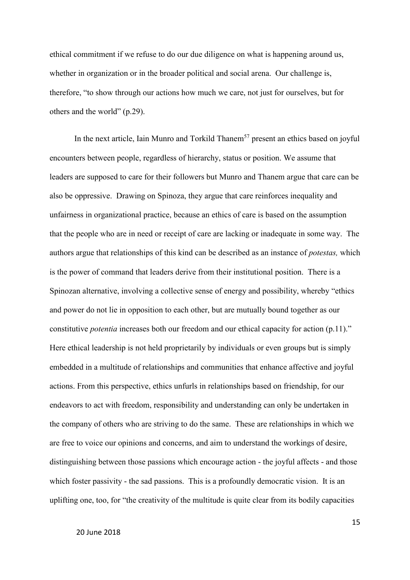ethical commitment if we refuse to do our due diligence on what is happening around us, whether in organization or in the broader political and social arena. Our challenge is, therefore, "to show through our actions how much we care, not just for ourselves, but for others and the world" (p.29).

In the next article, Iain Munro and Torkild Thanem<sup>57</sup> present an ethics based on joyful encounters between people, regardless of hierarchy, status or position. We assume that leaders are supposed to care for their followers but Munro and Thanem argue that care can be also be oppressive. Drawing on Spinoza, they argue that care reinforces inequality and unfairness in organizational practice, because an ethics of care is based on the assumption that the people who are in need or receipt of care are lacking or inadequate in some way. The authors argue that relationships of this kind can be described as an instance of *potestas,* which is the power of command that leaders derive from their institutional position. There is a Spinozan alternative, involving a collective sense of energy and possibility, whereby "ethics and power do not lie in opposition to each other, but are mutually bound together as our constitutive *potentia* increases both our freedom and our ethical capacity for action (p.11)." Here ethical leadership is not held proprietarily by individuals or even groups but is simply embedded in a multitude of relationships and communities that enhance affective and joyful actions. From this perspective, ethics unfurls in relationships based on friendship, for our endeavors to act with freedom, responsibility and understanding can only be undertaken in the company of others who are striving to do the same. These are relationships in which we are free to voice our opinions and concerns, and aim to understand the workings of desire, distinguishing between those passions which encourage action - the joyful affects - and those which foster passivity - the sad passions. This is a profoundly democratic vision. It is an uplifting one, too, for "the creativity of the multitude is quite clear from its bodily capacities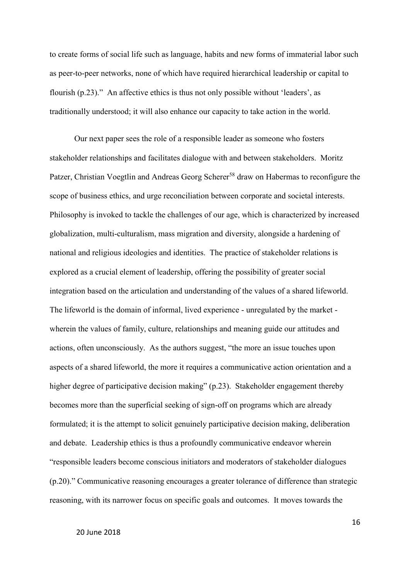to create forms of social life such as language, habits and new forms of immaterial labor such as peer-to-peer networks, none of which have required hierarchical leadership or capital to flourish (p.23)." An affective ethics is thus not only possible without 'leaders', as traditionally understood; it will also enhance our capacity to take action in the world.

Our next paper sees the role of a responsible leader as someone who fosters stakeholder relationships and facilitates dialogue with and between stakeholders. Moritz Patzer, Christian Voegtlin and Andreas Georg Scherer<sup>58</sup> draw on Habermas to reconfigure the scope of business ethics, and urge reconciliation between corporate and societal interests. Philosophy is invoked to tackle the challenges of our age, which is characterized by increased globalization, multi-culturalism, mass migration and diversity, alongside a hardening of national and religious ideologies and identities. The practice of stakeholder relations is explored as a crucial element of leadership, offering the possibility of greater social integration based on the articulation and understanding of the values of a shared lifeworld. The lifeworld is the domain of informal, lived experience - unregulated by the market wherein the values of family, culture, relationships and meaning guide our attitudes and actions, often unconsciously. As the authors suggest, "the more an issue touches upon aspects of a shared lifeworld, the more it requires a communicative action orientation and a higher degree of participative decision making" (p.23). Stakeholder engagement thereby becomes more than the superficial seeking of sign-off on programs which are already formulated; it is the attempt to solicit genuinely participative decision making, deliberation and debate. Leadership ethics is thus a profoundly communicative endeavor wherein "responsible leaders become conscious initiators and moderators of stakeholder dialogues (p.20)." Communicative reasoning encourages a greater tolerance of difference than strategic reasoning, with its narrower focus on specific goals and outcomes. It moves towards the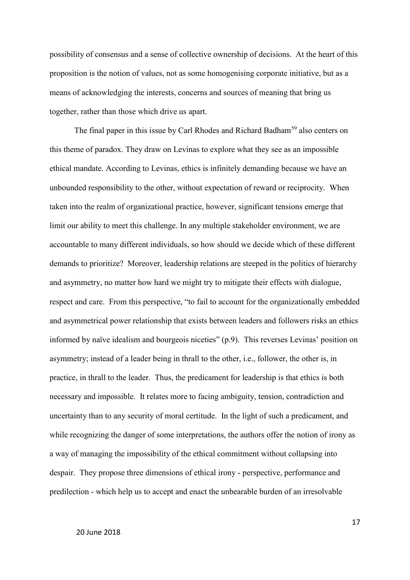possibility of consensus and a sense of collective ownership of decisions. At the heart of this proposition is the notion of values, not as some homogenising corporate initiative, but as a means of acknowledging the interests, concerns and sources of meaning that bring us together, rather than those which drive us apart.

The final paper in this issue by Carl Rhodes and Richard Badham<sup>59</sup> also centers on this theme of paradox. They draw on Levinas to explore what they see as an impossible ethical mandate. According to Levinas, ethics is infinitely demanding because we have an unbounded responsibility to the other, without expectation of reward or reciprocity. When taken into the realm of organizational practice, however, significant tensions emerge that limit our ability to meet this challenge. In any multiple stakeholder environment, we are accountable to many different individuals, so how should we decide which of these different demands to prioritize? Moreover, leadership relations are steeped in the politics of hierarchy and asymmetry, no matter how hard we might try to mitigate their effects with dialogue, respect and care. From this perspective, "to fail to account for the organizationally embedded and asymmetrical power relationship that exists between leaders and followers risks an ethics informed by naïve idealism and bourgeois niceties" (p.9). This reverses Levinas' position on asymmetry; instead of a leader being in thrall to the other, i.e., follower, the other is, in practice, in thrall to the leader. Thus, the predicament for leadership is that ethics is both necessary and impossible. It relates more to facing ambiguity, tension, contradiction and uncertainty than to any security of moral certitude. In the light of such a predicament, and while recognizing the danger of some interpretations, the authors offer the notion of irony as a way of managing the impossibility of the ethical commitment without collapsing into despair. They propose three dimensions of ethical irony - perspective, performance and predilection - which help us to accept and enact the unbearable burden of an irresolvable

17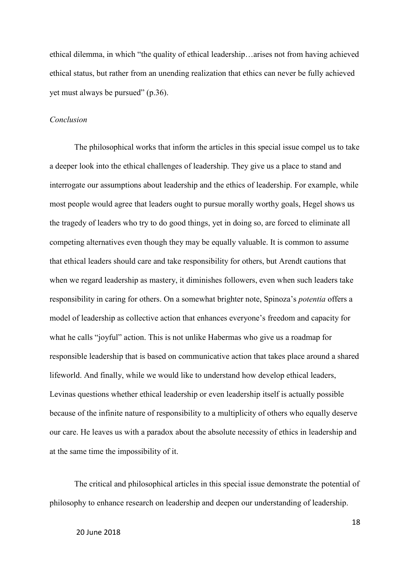ethical dilemma, in which "the quality of ethical leadership…arises not from having achieved ethical status, but rather from an unending realization that ethics can never be fully achieved yet must always be pursued" (p.36).

#### *Conclusion*

The philosophical works that inform the articles in this special issue compel us to take a deeper look into the ethical challenges of leadership. They give us a place to stand and interrogate our assumptions about leadership and the ethics of leadership. For example, while most people would agree that leaders ought to pursue morally worthy goals, Hegel shows us the tragedy of leaders who try to do good things, yet in doing so, are forced to eliminate all competing alternatives even though they may be equally valuable. It is common to assume that ethical leaders should care and take responsibility for others, but Arendt cautions that when we regard leadership as mastery, it diminishes followers, even when such leaders take responsibility in caring for others. On a somewhat brighter note, Spinoza's *potentia* offers a model of leadership as collective action that enhances everyone's freedom and capacity for what he calls "joyful" action. This is not unlike Habermas who give us a roadmap for responsible leadership that is based on communicative action that takes place around a shared lifeworld. And finally, while we would like to understand how develop ethical leaders, Levinas questions whether ethical leadership or even leadership itself is actually possible because of the infinite nature of responsibility to a multiplicity of others who equally deserve our care. He leaves us with a paradox about the absolute necessity of ethics in leadership and at the same time the impossibility of it.

The critical and philosophical articles in this special issue demonstrate the potential of philosophy to enhance research on leadership and deepen our understanding of leadership.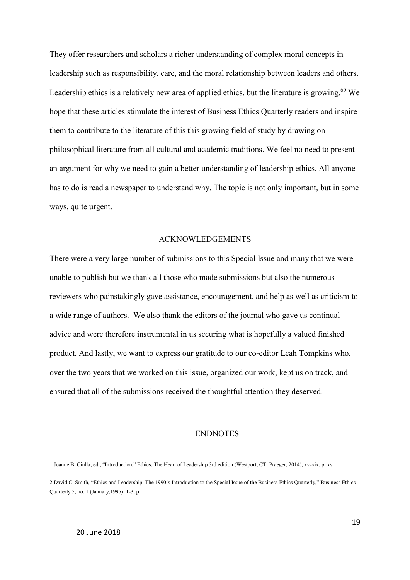They offer researchers and scholars a richer understanding of complex moral concepts in leadership such as responsibility, care, and the moral relationship between leaders and others. Leadership ethics is a relatively new area of applied ethics, but the literature is growing.<sup>60</sup> We hope that these articles stimulate the interest of Business Ethics Quarterly readers and inspire them to contribute to the literature of this this growing field of study by drawing on philosophical literature from all cultural and academic traditions. We feel no need to present an argument for why we need to gain a better understanding of leadership ethics. All anyone has to do is read a newspaper to understand why. The topic is not only important, but in some ways, quite urgent.

#### ACKNOWLEDGEMENTS

There were a very large number of submissions to this Special Issue and many that we were unable to publish but we thank all those who made submissions but also the numerous reviewers who painstakingly gave assistance, encouragement, and help as well as criticism to a wide range of authors. We also thank the editors of the journal who gave us continual advice and were therefore instrumental in us securing what is hopefully a valued finished product. And lastly, we want to express our gratitude to our co-editor Leah Tompkins who, over the two years that we worked on this issue, organized our work, kept us on track, and ensured that all of the submissions received the thoughtful attention they deserved.

## ENDNOTES

<u>.</u>

<sup>1</sup> Joanne B. Ciulla, ed., "Introduction," Ethics, The Heart of Leadership 3rd edition (Westport, CT: Praeger, 2014), xv-xix, p. xv.

<sup>2</sup> David C. Smith, "Ethics and Leadership: The 1990's Introduction to the Special Issue of the Business Ethics Quarterly," Business Ethics Quarterly 5, no. 1 (January,1995): 1-3, p. 1.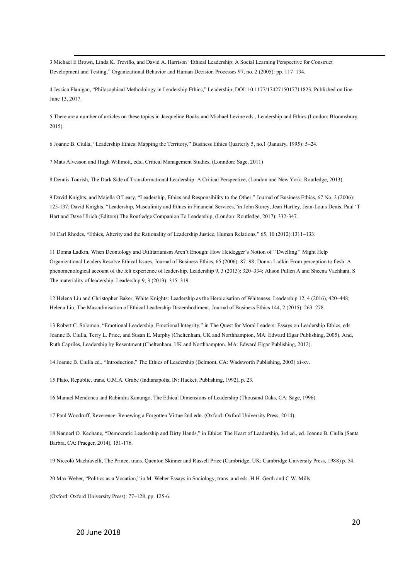<u>.</u> 3 Michael E Brown, Linda K. Treviño, and David A. Harrison "Ethical Leadership: A Social Learning Perspective for Construct Development and Testing," Organizational Behavior and Human Decision Processes 97, no. 2 (2005): pp. 117–134.

4 Jessica Flanigan, "Philosophical Methodology in Leadership Ethics," Leadership, DOI: 10.1177/1742715017711823, Published on line June 13, 2017.

5 There are a number of articles on these topics in Jacqueline Boaks and Michael Levine eds., Leadership and Ethics (London: Bloomsbury, 2015).

6 Joanne B. Ciulla, "Leadership Ethics: Mapping the Territory," Business Ethics Quarterly 5, no.1 (January, 1995): 5–24.

7 Mats Alvesson and Hugh Willmott, eds., Critical Management Studies, (Lonndon: Sage, 2011)

8 Dennis Tourish, The Dark Side of Transformational Leadership: A Critical Perspective, (London and New York: Routledge, 2013).

9 David Knights, and Majella O'Leary, "Leadership, Ethics and Responsibility to the Other," Journal of Business Ethics, 67 No. 2 (2006): 125-137; David Knights, "Leadership, Masculinity and Ethics in Financial Services,"in John Storey, Jean Hartley, Jean-Louis Denis, Paul 'T Hart and Dave Ulrich (Editors) The Routledge Companion To Leadership, (London: Routledge, 2017): 332-347.

10 Carl Rhodes, "Ethics, Alterity and the Rationality of Leadership Justice, Human Relations," 65, 10 (2012):1311–133.

11 Donna Ladkin, When Deontology and Utilitarianism Aren't Enough: How Heidegger's Notion of ''Dwelling'' Might Help Organizational Leaders Resolve Ethical Issues, Journal of Business Ethics, 65 (2006): 87–98; Donna Ladkin From perception to flesh: A phenomenological account of the felt experience of leadership. Leadership 9, 3 (2013): 320–334; Alison Pullen A and Sheena Vachhani, S The materiality of leadership. Leadership 9, 3 (2013): 315–319.

12 Helena Liu and Christopher Baker[, White Knights: Leadership as the Heroicisation of Whiteness,](https://scholar.google.com/citations?view_op=view_citation&hl=da&user=ozMuIPwAAAAJ&citation_for_view=ozMuIPwAAAAJ:Y0pCki6q_DkC) Leadership 12, 4 (2016), 420–448; Helena Liu, [The Masculinisation of Ethical Leadership Dis/embodiment,](https://scholar.google.com/citations?view_op=view_citation&hl=da&user=ozMuIPwAAAAJ&citation_for_view=ozMuIPwAAAAJ:_FxGoFyzp5QC) Journal of Business Ethics 144, 2 (2015): 263–278.

13 Robert C. Solomon, "Emotional Leadership, Emotional Integrity," in The Quest for Moral Leaders: Essays on Leadership Ethics, eds. Joanne B. Ciulla, Terry L. Price, and Susan E. Murphy (Cheltenham, UK and Northhampton, MA: Edward Elgar Publishing, 2005). And, Ruth Capriles, Leadership by Resentment (Cheltenham, UK and Northhampton, MA: Edward Elgar Publishing, 2012).

14 Joanne B. Ciulla ed., "Introduction," The Ethics of Leadership (Belmont, CA: Wadsworth Publishing, 2003) xi-xv.

15 Plato, Republic, trans. G.M.A. Grube (Indianapolis, IN: Hackett Publishing, 1992), p. 23.

16 Manuel Mendonca and Rabindra Kanungo, The Ethical Dimensions of Leadership (Thousand Oaks, CA: Sage, 1996).

17 Paul Woodruff, Reverence: Renewing a Forgotten Virtue 2nd edn. (Oxford: Oxford University Press, 2014).

18 Nannerl O. Keohane, "Democratic Leadership and Dirty Hands," in Ethics: The Heart of Leadership, 3rd ed., ed. Joanne B. Ciulla (Santa Barbra, CA: Praeger, 2014), 151-176.

19 Niccolò Machiavelli, The Prince, trans. Quenton Skinner and Russell Price (Cambridge, UK: Cambridge University Press, 1988) p. 54.

20 Max Weber, "Politics as a Vocation," in M. Weber Essays in Sociology, trans. and eds. H.H. Gerth and C.W. Mills

(Oxford: Oxford University Press): 77–128, pp. 125-6.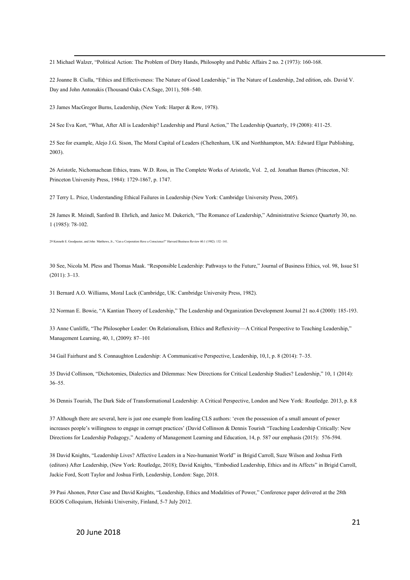<u>.</u> Michael Walzer, "Political Action: The Problem of Dirty Hands, Philosophy and Public Affairs 2 no. 2 (1973): 160-168.

 Joanne B. Ciulla, "Ethics and Effectiveness: The Nature of Good Leadership," in The Nature of Leadership, 2nd edition, eds. David V. Day and John Antonakis (Thousand Oaks CA:Sage, 2011), 508–540.

James MacGregor Burns, Leadership, (New York: Harper & Row, 1978).

See Eva Kort, "What, After All is Leadership? Leadership and Plural Action," The Leadership Quarterly, 19 (2008): 411-25.

 See for example, Alejo J.G. Sison, The Moral Capital of Leaders (Cheltenham, UK and Northhampton, MA: Edward Elgar Publishing, 2003).

 Aristotle, Nichomachean Ethics, trans. W.D. Ross, in The Complete Works of Aristotle, Vol. 2, ed. Jonathan Barnes (Princeton, NJ: Princeton University Press, 1984): 1729-1867, p. 1747.

Terry L. Price, Understanding Ethical Failures in Leadership (New York: Cambridge University Press, 2005).

 James R. Meindl, Sanford B. Ehrlich, and Janice M. Dukerich, "The Romance of Leadership," Administrative Science Quarterly 30, no. 1 (1985): 78-102.

Kenneth E. Goodpaster, and John Matthews, Jr., "Can a Corporation Have a Conscience?" Harvard Business Review 60.1 (1982): 132–141.

 See, Nicola M. Pless and Thomas Maak. "Responsible Leadership: Pathways to the Future," Journal of Business Ethics, vol. 98, Issue S1 (2011): 3–13.

Bernard A.O. Williams, Moral Luck (Cambridge, UK: Cambridge University Press, 1982).

Norman E. Bowie, "A Kantian Theory of Leadership," The Leadership and Organization Development Journal 21 no.4 (2000): 185-193.

 Anne Cunliffe, "The Philosopher Leader: On Relationalism, Ethics and Reflexivity—A Critical Perspective to Teaching Leadership," Management Learning, 40, 1, (2009): 87–101

Gail Fairhurst and S. Connaughton Leadership: A Communicative Perspective, Leadership, 10,1, p. 8 (2014): 7–35.

 David Collinson, "[Dichotomies, Dialectics and Dilemmas: New Directions for Critical Leadership Studies?](http://www.research.lancs.ac.uk/portal/en/publications/dichotomies-dialectics-and-dilemmas(ea677995-f343-4d95-91e0-f6b88fbb6e66).html) Leadership," 10, 1 (2014): –55.

Dennis Tourish, The Dark Side of Transformational Leadership: A Critical Perspective, London and New York: Routledge. 2013, p. 8.8

 Although there are several, here is just one example from leading CLS authors: 'even the possession of a small amount of power increases people's willingness to engage in corrupt practices' (David Collinson & Dennis Tourish "[Teaching Leadership Critically: New](http://www.research.lancs.ac.uk/portal/en/publications/teaching-leadership-critically(ec5bd48f-84b0-4036-940f-59b8103bd774).html)  [Directions for Leadership Pedagogy,](http://www.research.lancs.ac.uk/portal/en/publications/teaching-leadership-critically(ec5bd48f-84b0-4036-940f-59b8103bd774).html)" Academy of Management Learning and Education, 14, p. 587 our emphasis (2015): 576-594.

 David Knights, "Leadership Lives? Affective Leaders in a Neo-humanist World" in Brigid Carroll, Suze Wilson and Joshua Firth (editors) After Leadership, (New York: Routledge, 2018); David Knights, "Embodied Leadership, Ethics and its Affects" in Brigid Carroll, Jackie Ford, Scott Taylor and Joshua Firth, Leadership, London: Sage, 2018.

 Pasi Ahonen, Peter Case and David Knights, "Leadership, Ethics and Modalities of Power," Conference paper delivered at the 28th EGOS Colloquium, Helsinki University, Finland, 5-7 July 2012.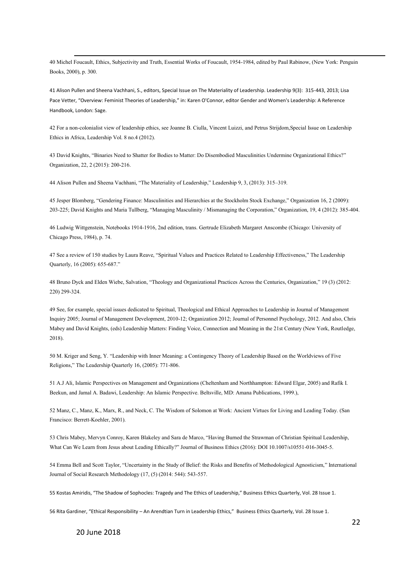-40 Michel Foucault, Ethics, Subjectivity and Truth, Essential Works of Foucault, 1954-1984, edited by Paul Rabinow, (New York: Penguin Books, 2000), p. 300.

41 Alison Pullen and Sheena Vachhani, S., editors, Special Issue on The Materiality of Leadership. Leadership 9(3): 315-443, 2013; Lisa Pace Vetter, "Overview: Feminist Theories of Leadership," in: [Karen O'Connor,](javascript:void(0);) edito[r Gender and Women's Leadership: A Reference](http://sk.sagepub.com/reference/womensleadership)  [Handbook,](http://sk.sagepub.com/reference/womensleadership) London: Sage.

42 For a non-colonialist view of leadership ethics, see Joanne B. Ciulla, Vincent Luizzi, and Petrus Strijdom,Special Issue on Leadership Ethics in Africa, Leadership Vol. 8 no.4 (2012).

43 David Knights, "Binaries Need to Shatter for Bodies to Matter: Do Disembodied Masculinities Undermine Organizational Ethics?" Organization, 22, 2 (2015): 200-216.

44 Alison Pullen and Sheena Vachhani, "The Materiality of Leadership," Leadership 9, 3, (2013): 315–319.

45 Jesper Blomberg, "Gendering Finance: Masculinities and Hierarchies at the Stockholm Stock Exchange," Organization 16, 2 (2009): 203-225; David Knights and Maria Tullberg, "Managing Masculinity / Mismanaging the Corporation," Organization, 19, 4 (2012): 385-404.

46 Ludwig Wittgenstein, Notebooks 1914-1916, 2nd edition, trans[. Gertrude Elizabeth Margaret Anscombe](https://en.wikipedia.org/wiki/G._E._M._Anscombe) (Chicago: University of Chicago Press, 1984), p. 74.

47 See a review of 150 studies by Laura Reave, "Spiritual Values and Practices Related to Leadership Effectiveness," The Leadership Quarterly, 16 (2005): 655-687."

48 Bruno Dyck and Elden Wiebe, Salvation, "Theology and Organizational Practices Across the Centuries, Organization," 19 (3) (2012: 220) 299-324.

49 See, for example, special issues dedicated to Spiritual, Theological and Ethical Approaches to Leadership in Journal of Management Inquiry 2005; Journal of Management Development, 2010-12; Organization 2012; Journal of Personnel Psychology, 2012. And also, Chris Mabey and David Knights, (eds) Leadership Matters: Finding Voice, Connection and Meaning in the 21st Century (New York, Routledge, 2018).

50 M. Kriger and Seng, Y. "Leadership with Inner Meaning: a Contingency Theory of Leadership Based on the Worldviews of Five Religions," The Leadership Quarterly 16, (2005): 771-806.

51 A.J Ali, Islamic Perspectives on Management and Organizations (Cheltenham and Northhampton: Edward Elgar, 2005) and Rafik I. Beekun, and Jamal A. Badawi, Leadership: An Islamic Perspective. Beltsville, MD: Amana Publications, 1999.),

52 Manz, C., Manz, K., Marx, R., and Neck, C. The Wisdom of Solomon at Work: Ancient Virtues for Living and Leading Today. (San Francisco: Berrett-Koehler, 2001).

53 Chris Mabey, Mervyn Conroy, Karen Blakeley and Sara de Marco, "Having Burned the Strawman of Christian Spiritual Leadership, What Can We Learn from Jesus about Leading Ethically?" Journal of Business Ethics (2016): DOI 10.1007/s10551-016-3045-5.

54 Emma Bell and Scott Taylor, "Uncertainty in the Study of Belief: the Risks and Benefits of Methodological Agnosticism," International Journal of Social Research Methodology (17, (5) (2014: 544): 543-557.

55 Kostas Amiridis, "The Shadow of Sophocles: Tragedy and The Ethics of Leadership," Business Ethics Quarterly, Vol. 28 Issue 1.

56 Rita Gardiner, "Ethical Responsibility – An Arendtian Turn in Leadership Ethics," Business Ethics Quarterly, Vol. 28 Issue 1.